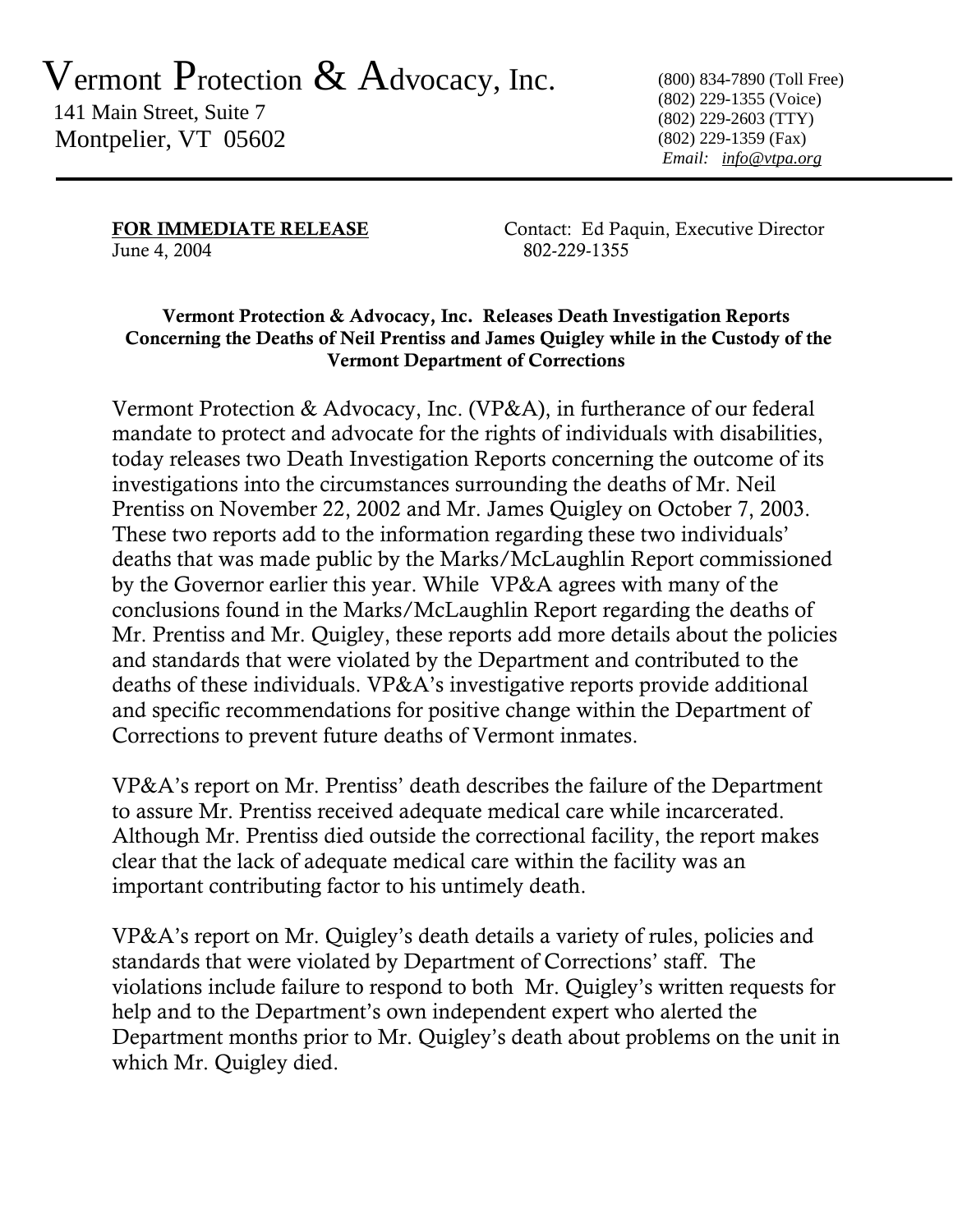## Vermont Protection  $\&$  Advocacy, Inc.

 141 Main Street, Suite 7 Montpelier, VT 05602 (800) 834-7890 (Toll Free) (802) 229-1355 (Voice) (802) 229-2603 (TTY) (802) 229-1359 (Fax)  *Email: info@vtpa.org*

FOR IMMEDIATE RELEASE Contact: Ed Paquin, Executive Director<br>June 4, 2004 802-229-1355 802-229-1355

## Vermont Protection & Advocacy, Inc. Releases Death Investigation Reports Concerning the Deaths of Neil Prentiss and James Quigley while in the Custody of the Vermont Department of Corrections

Vermont Protection & Advocacy, Inc. (VP&A), in furtherance of our federal mandate to protect and advocate for the rights of individuals with disabilities, today releases two Death Investigation Reports concerning the outcome of its investigations into the circumstances surrounding the deaths of Mr. Neil Prentiss on November 22, 2002 and Mr. James Quigley on October 7, 2003. These two reports add to the information regarding these two individuals' deaths that was made public by the Marks/McLaughlin Report commissioned by the Governor earlier this year. While VP&A agrees with many of the conclusions found in the Marks/McLaughlin Report regarding the deaths of Mr. Prentiss and Mr. Quigley, these reports add more details about the policies and standards that were violated by the Department and contributed to the deaths of these individuals. VP&A's investigative reports provide additional and specific recommendations for positive change within the Department of Corrections to prevent future deaths of Vermont inmates.

VP&A's report on Mr. Prentiss' death describes the failure of the Department to assure Mr. Prentiss received adequate medical care while incarcerated. Although Mr. Prentiss died outside the correctional facility, the report makes clear that the lack of adequate medical care within the facility was an important contributing factor to his untimely death.

VP&A's report on Mr. Quigley's death details a variety of rules, policies and standards that were violated by Department of Corrections' staff. The violations include failure to respond to both Mr. Quigley's written requests for help and to the Department's own independent expert who alerted the Department months prior to Mr. Quigley's death about problems on the unit in which Mr. Quigley died.